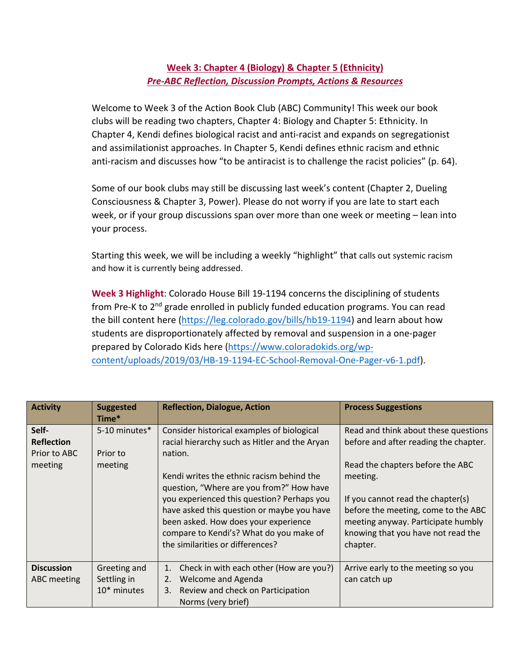## **Week 3: Chapter 4 (Biology) & Chapter 5 (Ethnicity)**  *Pre-ABC Reflection, Discussion Prompts, Actions & Resources*

Welcome to Week 3 of the Action Book Club (ABC) Community! This week our book clubs will be reading two chapters, Chapter 4: Biology and Chapter 5: Ethnicity. In Chapter 4, Kendi defines biological racist and anti-racist and expands on segregationist and assimilationist approaches. In Chapter 5, Kendi defines ethnic racism and ethnic anti-racism and discusses how "to be antiracist is to challenge the racist policies" (p. 64).

Some of our book clubs may still be discussing last week's content (Chapter 2, Dueling Consciousness & Chapter 3, Power). Please do not worry if you are late to start each week, or if your group discussions span over more than one week or meeting – lean into your process.

Starting this week, we will be including a weekly "highlight" that calls out systemic racism and how it is currently being addressed.

**Week 3 Highlight**: Colorado House Bill 19-1194 concerns the disciplining of students from Pre-K to 2<sup>nd</sup> grade enrolled in publicly funded education programs. You can read the bill content here (https://leg.colorado.gov/bills/hb19-1194) and learn about how students are disproportionately affected by removal and suspension in a one-pager prepared by Colorado Kids here (https://www.coloradokids.org/wpcontent/uploads/2019/03/HB-19-1194-EC-School-Removal-One-Pager-v6-1.pdf).

| <b>Activity</b>                                       | <b>Suggested</b><br>Time*                  | <b>Reflection, Dialogue, Action</b>                                                                                                                                                                                                                                                                                                                                                                                | <b>Process Suggestions</b>                                                                                                                                                                                                                                                                        |
|-------------------------------------------------------|--------------------------------------------|--------------------------------------------------------------------------------------------------------------------------------------------------------------------------------------------------------------------------------------------------------------------------------------------------------------------------------------------------------------------------------------------------------------------|---------------------------------------------------------------------------------------------------------------------------------------------------------------------------------------------------------------------------------------------------------------------------------------------------|
| Self-<br><b>Reflection</b><br>Prior to ABC<br>meeting | 5-10 minutes*<br>Prior to<br>meeting       | Consider historical examples of biological<br>racial hierarchy such as Hitler and the Aryan<br>nation.<br>Kendi writes the ethnic racism behind the<br>question, "Where are you from?" How have<br>you experienced this question? Perhaps you<br>have asked this question or maybe you have<br>been asked. How does your experience<br>compare to Kendi's? What do you make of<br>the similarities or differences? | Read and think about these questions<br>before and after reading the chapter.<br>Read the chapters before the ABC<br>meeting.<br>If you cannot read the chapter(s)<br>before the meeting, come to the ABC<br>meeting anyway. Participate humbly<br>knowing that you have not read the<br>chapter. |
| <b>Discussion</b><br>ABC meeting                      | Greeting and<br>Settling in<br>10* minutes | Check in with each other (How are you?)<br>1.<br>2.<br>Welcome and Agenda<br>Review and check on Participation<br>3.<br>Norms (very brief)                                                                                                                                                                                                                                                                         | Arrive early to the meeting so you<br>can catch up                                                                                                                                                                                                                                                |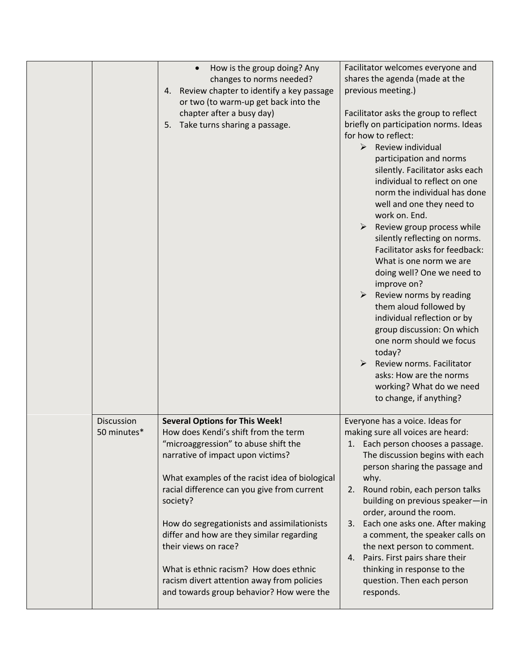|                           | How is the group doing? Any<br>changes to norms needed?<br>Review chapter to identify a key passage<br>4.<br>or two (to warm-up get back into the<br>chapter after a busy day)<br>Take turns sharing a passage.<br>5.                                                                                                                                                                                                                                                                                                           | Facilitator welcomes everyone and<br>shares the agenda (made at the<br>previous meeting.)<br>Facilitator asks the group to reflect<br>briefly on participation norms. Ideas<br>for how to reflect:<br>$\triangleright$<br>Review individual<br>participation and norms<br>silently. Facilitator asks each<br>individual to reflect on one<br>norm the individual has done<br>well and one they need to<br>work on. End.<br>≻<br>Review group process while<br>silently reflecting on norms.<br>Facilitator asks for feedback:<br>What is one norm we are<br>doing well? One we need to<br>improve on?<br>Review norms by reading<br>➤<br>them aloud followed by<br>individual reflection or by<br>group discussion: On which<br>one norm should we focus<br>today?<br>Review norms. Facilitator<br>asks: How are the norms<br>working? What do we need<br>to change, if anything? |
|---------------------------|---------------------------------------------------------------------------------------------------------------------------------------------------------------------------------------------------------------------------------------------------------------------------------------------------------------------------------------------------------------------------------------------------------------------------------------------------------------------------------------------------------------------------------|-----------------------------------------------------------------------------------------------------------------------------------------------------------------------------------------------------------------------------------------------------------------------------------------------------------------------------------------------------------------------------------------------------------------------------------------------------------------------------------------------------------------------------------------------------------------------------------------------------------------------------------------------------------------------------------------------------------------------------------------------------------------------------------------------------------------------------------------------------------------------------------|
| Discussion<br>50 minutes* | <b>Several Options for This Week!</b><br>How does Kendi's shift from the term<br>"microaggression" to abuse shift the<br>narrative of impact upon victims?<br>What examples of the racist idea of biological<br>racial difference can you give from current<br>society?<br>How do segregationists and assimilationists<br>differ and how are they similar regarding<br>their views on race?<br>What is ethnic racism? How does ethnic<br>racism divert attention away from policies<br>and towards group behavior? How were the | Everyone has a voice. Ideas for<br>making sure all voices are heard:<br>1. Each person chooses a passage.<br>The discussion begins with each<br>person sharing the passage and<br>why.<br>Round robin, each person talks<br>2.<br>building on previous speaker-in<br>order, around the room.<br>3. Each one asks one. After making<br>a comment, the speaker calls on<br>the next person to comment.<br>Pairs. First pairs share their<br>4.<br>thinking in response to the<br>question. Then each person<br>responds.                                                                                                                                                                                                                                                                                                                                                            |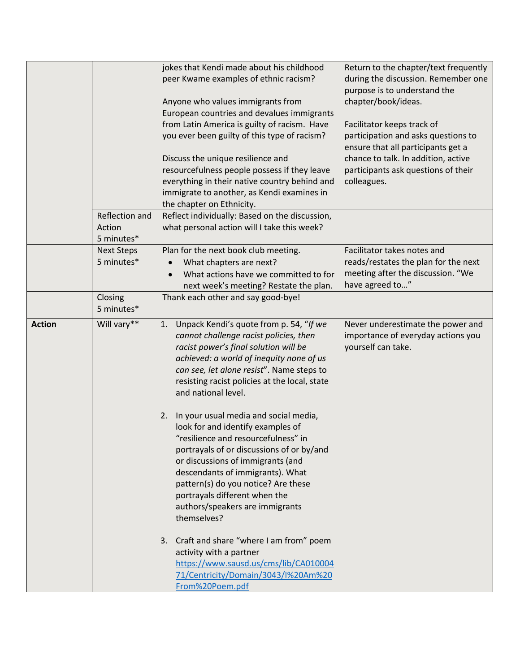|               |                                        | jokes that Kendi made about his childhood<br>peer Kwame examples of ethnic racism?<br>Anyone who values immigrants from<br>European countries and devalues immigrants<br>from Latin America is guilty of racism. Have<br>you ever been guilty of this type of racism?<br>Discuss the unique resilience and<br>resourcefulness people possess if they leave<br>everything in their native country behind and<br>immigrate to another, as Kendi examines in<br>the chapter on Ethnicity.                                                                                                                                     | Return to the chapter/text frequently<br>during the discussion. Remember one<br>purpose is to understand the<br>chapter/book/ideas.<br>Facilitator keeps track of<br>participation and asks questions to<br>ensure that all participants get a<br>chance to talk. In addition, active<br>participants ask questions of their<br>colleagues. |
|---------------|----------------------------------------|----------------------------------------------------------------------------------------------------------------------------------------------------------------------------------------------------------------------------------------------------------------------------------------------------------------------------------------------------------------------------------------------------------------------------------------------------------------------------------------------------------------------------------------------------------------------------------------------------------------------------|---------------------------------------------------------------------------------------------------------------------------------------------------------------------------------------------------------------------------------------------------------------------------------------------------------------------------------------------|
|               | Reflection and<br>Action<br>5 minutes* | Reflect individually: Based on the discussion,<br>what personal action will I take this week?                                                                                                                                                                                                                                                                                                                                                                                                                                                                                                                              |                                                                                                                                                                                                                                                                                                                                             |
|               | <b>Next Steps</b><br>5 minutes*        | Plan for the next book club meeting.<br>What chapters are next?<br>What actions have we committed to for<br>next week's meeting? Restate the plan.                                                                                                                                                                                                                                                                                                                                                                                                                                                                         | Facilitator takes notes and<br>reads/restates the plan for the next<br>meeting after the discussion. "We<br>have agreed to"                                                                                                                                                                                                                 |
|               | Closing<br>5 minutes*                  | Thank each other and say good-bye!                                                                                                                                                                                                                                                                                                                                                                                                                                                                                                                                                                                         |                                                                                                                                                                                                                                                                                                                                             |
| <b>Action</b> | Will vary**                            | Unpack Kendi's quote from p. 54, "If we<br>1.<br>cannot challenge racist policies, then<br>racist power's final solution will be<br>achieved: a world of inequity none of us<br>can see, let alone resist". Name steps to<br>resisting racist policies at the local, state<br>and national level.<br>In your usual media and social media,<br>2.<br>look for and identify examples of<br>"resilience and resourcefulness" in<br>portrayals of or discussions of or by/and<br>or discussions of immigrants (and<br>descendants of immigrants). What<br>pattern(s) do you notice? Are these<br>portrayals different when the | Never underestimate the power and<br>importance of everyday actions you<br>yourself can take.                                                                                                                                                                                                                                               |
|               |                                        | authors/speakers are immigrants<br>themselves?<br>Craft and share "where I am from" poem<br>3.<br>activity with a partner<br>https://www.sausd.us/cms/lib/CA010004<br>71/Centricity/Domain/3043/I%20Am%20<br>From%20Poem.pdf                                                                                                                                                                                                                                                                                                                                                                                               |                                                                                                                                                                                                                                                                                                                                             |